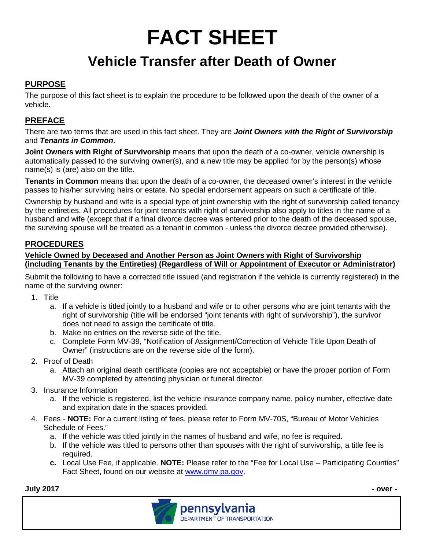# **FACT SHEET**

# **Vehicle Transfer after Death of Owner**

## **PURPOSE**

The purpose of this fact sheet is to explain the procedure to be followed upon the death of the owner of a vehicle.

# **PREFACE**

There are two terms that are used in this fact sheet. They are *Joint Owners with the Right of Survivorship*  and *Tenants in Common*.

**Joint Owners with Right of Survivorship** means that upon the death of a co-owner, vehicle ownership is automatically passed to the surviving owner(s), and a new title may be applied for by the person(s) whose name(s) is (are) also on the title.

**Tenants in Common** means that upon the death of a co-owner, the deceased owner's interest in the vehicle passes to his/her surviving heirs or estate. No special endorsement appears on such a certificate of title.

Ownership by husband and wife is a special type of joint ownership with the right of survivorship called tenancy by the entireties. All procedures for joint tenants with right of survivorship also apply to titles in the name of a husband and wife (except that if a final divorce decree was entered prior to the death of the deceased spouse, the surviving spouse will be treated as a tenant in common - unless the divorce decree provided otherwise).

#### **PROCEDURES**

#### **Vehicle Owned by Deceased and Another Person as Joint Owners with Right of Survivorship (including Tenants by the Entireties) (Regardless of Will or Appointment of Executor or Administrator)**

Submit the following to have a corrected title issued (and registration if the vehicle is currently registered) in the name of the surviving owner:

- 1. Title
	- a. If a vehicle is titled jointly to a husband and wife or to other persons who are joint tenants with the right of survivorship (title will be endorsed "joint tenants with right of survivorship"), the survivor does not need to assign the certificate of title.
	- b. Make no entries on the reverse side of the title.
	- c. Complete Form MV-39, "Notification of Assignment/Correction of Vehicle Title Upon Death of Owner" (instructions are on the reverse side of the form).
- 2. Proof of Death
	- a. Attach an original death certificate (copies are not acceptable) or have the proper portion of Form MV-39 completed by attending physician or funeral director.
- 3. Insurance Information
	- a. If the vehicle is registered, list the vehicle insurance company name, policy number, effective date and expiration date in the spaces provided.
- 4. Fees **NOTE:** For a current listing of fees, please refer to Form MV-70S, "Bureau of Motor Vehicles Schedule of Fees."
	- a. If the vehicle was titled jointly in the names of husband and wife, no fee is required.
	- b. If the vehicle was titled to persons other than spouses with the right of survivorship, a title fee is required.
	- **c.** Local Use Fee, if applicable. **NOTE:** Please refer to the "Fee for Local Use Participating Counties" Fact Sheet, found on our website at [www.dmv.pa.gov.](http://www.dmv.pa.gov/)

**July 2017 - over -**

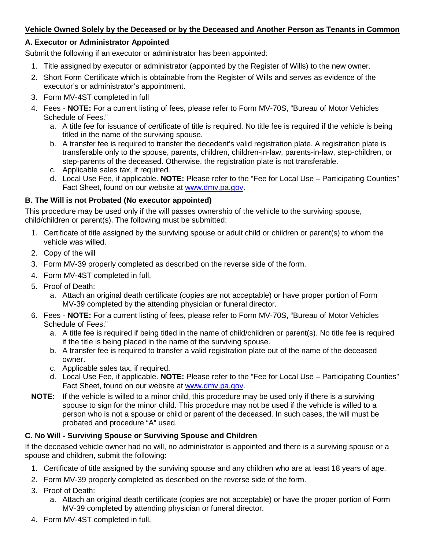#### **Vehicle Owned Solely by the Deceased or by the Deceased and Another Person as Tenants in Common**

#### **A. Executor or Administrator Appointed**

Submit the following if an executor or administrator has been appointed:

- 1. Title assigned by executor or administrator (appointed by the Register of Wills) to the new owner.
- 2. Short Form Certificate which is obtainable from the Register of Wills and serves as evidence of the executor's or administrator's appointment.
- 3. Form MV-4ST completed in full
- 4. Fees **NOTE:** For a current listing of fees, please refer to Form MV-70S, "Bureau of Motor Vehicles Schedule of Fees."
	- a. A title fee for issuance of certificate of title is required. No title fee is required if the vehicle is being titled in the name of the surviving spouse.
	- b. A transfer fee is required to transfer the decedent's valid registration plate. A registration plate is transferable only to the spouse, parents, children, children-in-law, parents-in-law, step-children, or step-parents of the deceased. Otherwise, the registration plate is not transferable.
	- c. Applicable sales tax, if required.
	- d. Local Use Fee, if applicable. **NOTE:** Please refer to the "Fee for Local Use Participating Counties" Fact Sheet, found on our website at [www.dmv.pa.gov.](http://www.dmv.pa.gov/)

#### **B. The Will is not Probated (No executor appointed)**

This procedure may be used only if the will passes ownership of the vehicle to the surviving spouse, child/children or parent(s). The following must be submitted:

- 1. Certificate of title assigned by the surviving spouse or adult child or children or parent(s) to whom the vehicle was willed.
- 2. Copy of the will
- 3. Form MV-39 properly completed as described on the reverse side of the form.
- 4. Form MV-4ST completed in full.
- 5. Proof of Death:
	- a. Attach an original death certificate (copies are not acceptable) or have proper portion of Form MV-39 completed by the attending physician or funeral director.
- 6. Fees **NOTE:** For a current listing of fees, please refer to Form MV-70S, "Bureau of Motor Vehicles Schedule of Fees."
	- a. A title fee is required if being titled in the name of child/children or parent(s). No title fee is required if the title is being placed in the name of the surviving spouse.
	- b. A transfer fee is required to transfer a valid registration plate out of the name of the deceased owner.
	- c. Applicable sales tax, if required.
	- d. Local Use Fee, if applicable. **NOTE:** Please refer to the "Fee for Local Use Participating Counties" Fact Sheet, found on our website at [www.dmv.pa.gov.](http://www.dmv.pa.gov/)
- **NOTE:** If the vehicle is willed to a minor child, this procedure may be used only if there is a surviving spouse to sign for the minor child. This procedure may not be used if the vehicle is willed to a person who is not a spouse or child or parent of the deceased. In such cases, the will must be probated and procedure "A" used.

## **C. No Will - Surviving Spouse or Surviving Spouse and Children**

If the deceased vehicle owner had no will, no administrator is appointed and there is a surviving spouse or a spouse and children, submit the following:

- 1. Certificate of title assigned by the surviving spouse and any children who are at least 18 years of age.
- 2. Form MV-39 properly completed as described on the reverse side of the form.
- 3. Proof of Death:
	- a. Attach an original death certificate (copies are not acceptable) or have the proper portion of Form MV-39 completed by attending physician or funeral director.
- 4. Form MV-4ST completed in full.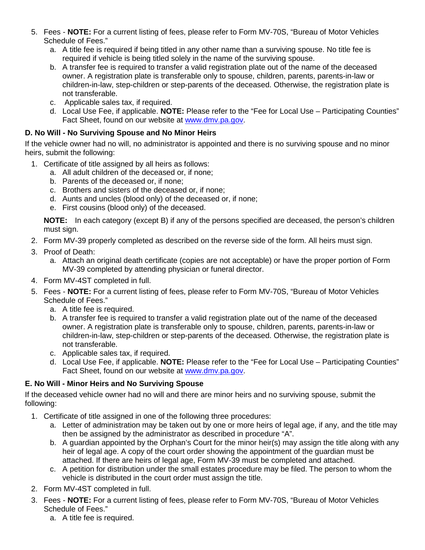- 5. Fees **NOTE:** For a current listing of fees, please refer to Form MV-70S, "Bureau of Motor Vehicles Schedule of Fees."
	- a. A title fee is required if being titled in any other name than a surviving spouse. No title fee is required if vehicle is being titled solely in the name of the surviving spouse.
	- b. A transfer fee is required to transfer a valid registration plate out of the name of the deceased owner. A registration plate is transferable only to spouse, children, parents, parents-in-law or children-in-law, step-children or step-parents of the deceased. Otherwise, the registration plate is not transferable.
	- c. Applicable sales tax, if required.
	- d. Local Use Fee, if applicable. **NOTE:** Please refer to the "Fee for Local Use Participating Counties" Fact Sheet, found on our website at [www.dmv.pa.gov.](http://www.dmv.pa.gov/)

#### **D. No Will - No Surviving Spouse and No Minor Heirs**

If the vehicle owner had no will, no administrator is appointed and there is no surviving spouse and no minor heirs, submit the following:

- 1. Certificate of title assigned by all heirs as follows:
	- a. All adult children of the deceased or, if none;
	- b. Parents of the deceased or, if none;
	- c. Brothers and sisters of the deceased or, if none;
	- d. Aunts and uncles (blood only) of the deceased or, if none;
	- e. First cousins (blood only) of the deceased.

**NOTE:** In each category (except B) if any of the persons specified are deceased, the person's children must sign.

- 2. Form MV-39 properly completed as described on the reverse side of the form. All heirs must sign.
- 3. Proof of Death:
	- a. Attach an original death certificate (copies are not acceptable) or have the proper portion of Form MV-39 completed by attending physician or funeral director.
- 4. Form MV-4ST completed in full.
- 5. Fees **NOTE:** For a current listing of fees, please refer to Form MV-70S, "Bureau of Motor Vehicles Schedule of Fees."
	- a. A title fee is required.
	- b. A transfer fee is required to transfer a valid registration plate out of the name of the deceased owner. A registration plate is transferable only to spouse, children, parents, parents-in-law or children-in-law, step-children or step-parents of the deceased. Otherwise, the registration plate is not transferable.
	- c. Applicable sales tax, if required.
	- d. Local Use Fee, if applicable. **NOTE:** Please refer to the "Fee for Local Use Participating Counties" Fact Sheet, found on our website at [www.dmv.pa.gov.](http://www.dmv.pa.gov/)

## **E. No Will - Minor Heirs and No Surviving Spouse**

If the deceased vehicle owner had no will and there are minor heirs and no surviving spouse, submit the following:

- 1. Certificate of title assigned in one of the following three procedures:
	- a. Letter of administration may be taken out by one or more heirs of legal age, if any, and the title may then be assigned by the administrator as described in procedure "A".
	- b. A guardian appointed by the Orphan's Court for the minor heir(s) may assign the title along with any heir of legal age. A copy of the court order showing the appointment of the guardian must be attached. If there are heirs of legal age, Form MV-39 must be completed and attached.
	- c. A petition for distribution under the small estates procedure may be filed. The person to whom the vehicle is distributed in the court order must assign the title.
- 2. Form MV-4ST completed in full.
- 3. Fees **NOTE:** For a current listing of fees, please refer to Form MV-70S, "Bureau of Motor Vehicles Schedule of Fees."
	- a. A title fee is required.